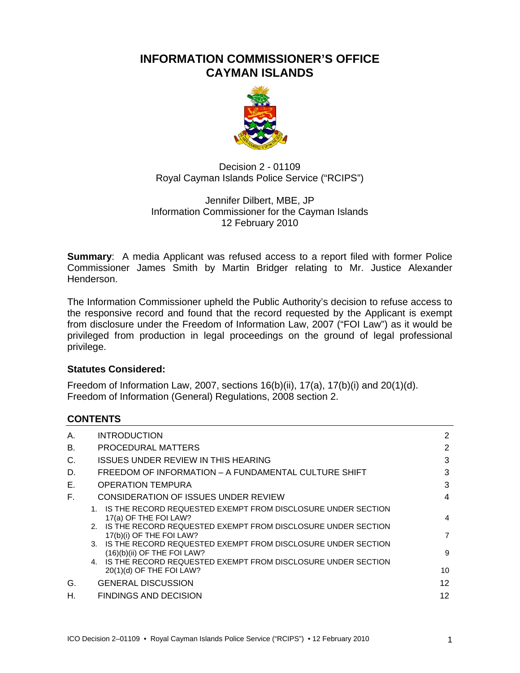# **INFORMATION COMMISSIONER'S OFFICE CAYMAN ISLANDS**



Decision 2 - 01109 Royal Cayman Islands Police Service ("RCIPS")

### Jennifer Dilbert, MBE, JP Information Commissioner for the Cayman Islands 12 February 2010

**Summary**: A media Applicant was refused access to a report filed with former Police Commissioner James Smith by Martin Bridger relating to Mr. Justice Alexander Henderson.

The Information Commissioner upheld the Public Authority's decision to refuse access to the responsive record and found that the record requested by the Applicant is exempt from disclosure under the Freedom of Information Law, 2007 ("FOI Law") as it would be privileged from production in legal proceedings on the ground of legal professional privilege.

### **Statutes Considered:**

Freedom of Information Law, 2007, sections 16(b)(ii), 17(a), 17(b)(i) and 20(1)(d). Freedom of Information (General) Regulations, 2008 section 2.

### **CONTENTS**

| <b>INTRODUCTION</b>                                                                              | 2                     |
|--------------------------------------------------------------------------------------------------|-----------------------|
| PROCEDURAL MATTERS                                                                               | 2                     |
| ISSUES UNDER REVIEW IN THIS HEARING                                                              | 3                     |
| FREEDOM OF INFORMATION - A FUNDAMENTAL CULTURE SHIFT                                             | 3                     |
| <b>OPERATION TEMPURA</b>                                                                         | 3                     |
| CONSIDERATION OF ISSUES UNDER REVIEW                                                             | 4                     |
| 1. IS THE RECORD REQUESTED EXEMPT FROM DISCLOSURE UNDER SECTION                                  | 4                     |
| 2. IS THE RECORD REQUESTED EXEMPT FROM DISCLOSURE UNDER SECTION<br>17(b)(i) OF THE FOI LAW?      | 7                     |
| 3. IS THE RECORD REQUESTED EXEMPT FROM DISCLOSURE UNDER SECTION<br>$(16)(b)(ii)$ OF THE FOI LAW? | 9                     |
| 4. IS THE RECORD REQUESTED EXEMPT FROM DISCLOSURE UNDER SECTION<br>$20(1)(d)$ OF THE FOI LAW?    | 10                    |
| <b>GENERAL DISCUSSION</b>                                                                        | 12                    |
| FINDINGS AND DECISION                                                                            | 12                    |
|                                                                                                  | 17(a) OF THE FOI LAW? |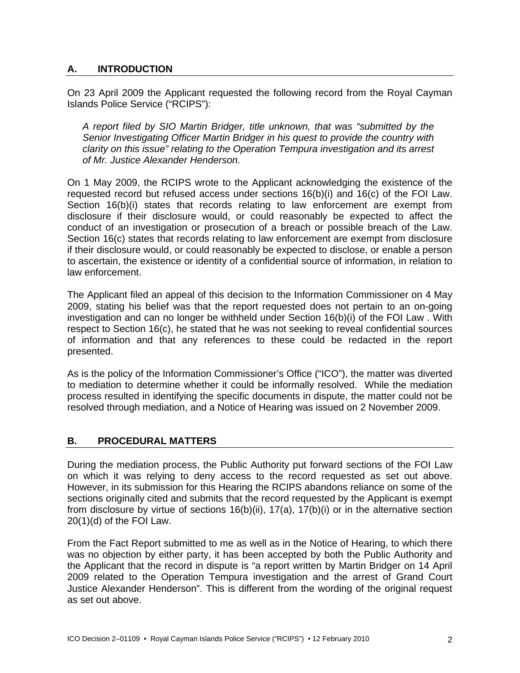### **A. INTRODUCTION**

On 23 April 2009 the Applicant requested the following record from the Royal Cayman Islands Police Service ("RCIPS"):

*A report filed by SIO Martin Bridger, title unknown, that was "submitted by the Senior Investigating Officer Martin Bridger in his quest to provide the country with clarity on this issue" relating to the Operation Tempura investigation and its arrest of Mr. Justice Alexander Henderson.* 

On 1 May 2009, the RCIPS wrote to the Applicant acknowledging the existence of the requested record but refused access under sections 16(b)(i) and 16(c) of the FOI Law. Section 16(b)(i) states that records relating to law enforcement are exempt from disclosure if their disclosure would, or could reasonably be expected to affect the conduct of an investigation or prosecution of a breach or possible breach of the Law. Section 16(c) states that records relating to law enforcement are exempt from disclosure if their disclosure would, or could reasonably be expected to disclose, or enable a person to ascertain, the existence or identity of a confidential source of information, in relation to law enforcement.

The Applicant filed an appeal of this decision to the Information Commissioner on 4 May 2009, stating his belief was that the report requested does not pertain to an on-going investigation and can no longer be withheld under Section 16(b)(i) of the FOI Law . With respect to Section 16(c), he stated that he was not seeking to reveal confidential sources of information and that any references to these could be redacted in the report presented.

As is the policy of the Information Commissioner's Office ("ICO"), the matter was diverted to mediation to determine whether it could be informally resolved. While the mediation process resulted in identifying the specific documents in dispute, the matter could not be resolved through mediation, and a Notice of Hearing was issued on 2 November 2009.

#### **B. PROCEDURAL MATTERS**

During the mediation process, the Public Authority put forward sections of the FOI Law on which it was relying to deny access to the record requested as set out above. However, in its submission for this Hearing the RCIPS abandons reliance on some of the sections originally cited and submits that the record requested by the Applicant is exempt from disclosure by virtue of sections 16(b)(ii), 17(a), 17(b)(i) or in the alternative section 20(1)(d) of the FOI Law.

From the Fact Report submitted to me as well as in the Notice of Hearing, to which there was no objection by either party, it has been accepted by both the Public Authority and the Applicant that the record in dispute is "a report written by Martin Bridger on 14 April 2009 related to the Operation Tempura investigation and the arrest of Grand Court Justice Alexander Henderson". This is different from the wording of the original request as set out above.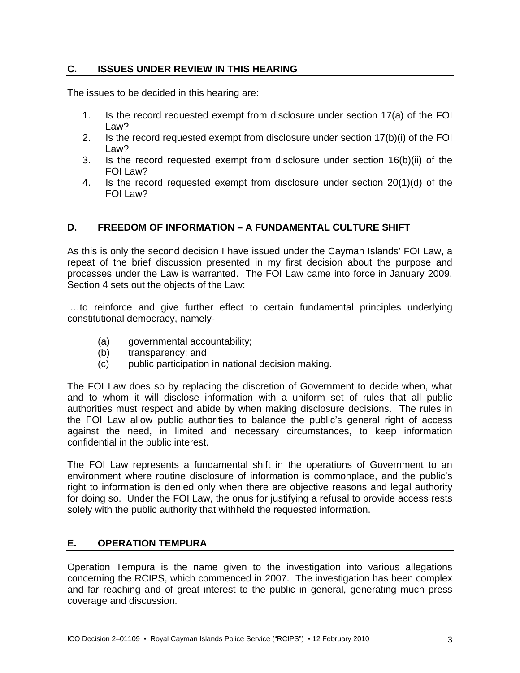### **C. ISSUES UNDER REVIEW IN THIS HEARING**

The issues to be decided in this hearing are:

- 1. Is the record requested exempt from disclosure under section 17(a) of the FOI Law?
- 2. Is the record requested exempt from disclosure under section 17(b)(i) of the FOI Law?
- 3. Is the record requested exempt from disclosure under section 16(b)(ii) of the FOI Law?
- 4. Is the record requested exempt from disclosure under section 20(1)(d) of the FOI Law?

#### **D. FREEDOM OF INFORMATION – A FUNDAMENTAL CULTURE SHIFT**

As this is only the second decision I have issued under the Cayman Islands' FOI Law, a repeat of the brief discussion presented in my first decision about the purpose and processes under the Law is warranted. The FOI Law came into force in January 2009. Section 4 sets out the objects of the Law:

 …to reinforce and give further effect to certain fundamental principles underlying constitutional democracy, namely-

- (a) governmental accountability;
- (b) transparency; and
- (c) public participation in national decision making.

The FOI Law does so by replacing the discretion of Government to decide when, what and to whom it will disclose information with a uniform set of rules that all public authorities must respect and abide by when making disclosure decisions. The rules in the FOI Law allow public authorities to balance the public's general right of access against the need, in limited and necessary circumstances, to keep information confidential in the public interest.

The FOI Law represents a fundamental shift in the operations of Government to an environment where routine disclosure of information is commonplace, and the public's right to information is denied only when there are objective reasons and legal authority for doing so. Under the FOI Law, the onus for justifying a refusal to provide access rests solely with the public authority that withheld the requested information.

#### **E. OPERATION TEMPURA**

Operation Tempura is the name given to the investigation into various allegations concerning the RCIPS, which commenced in 2007. The investigation has been complex and far reaching and of great interest to the public in general, generating much press coverage and discussion.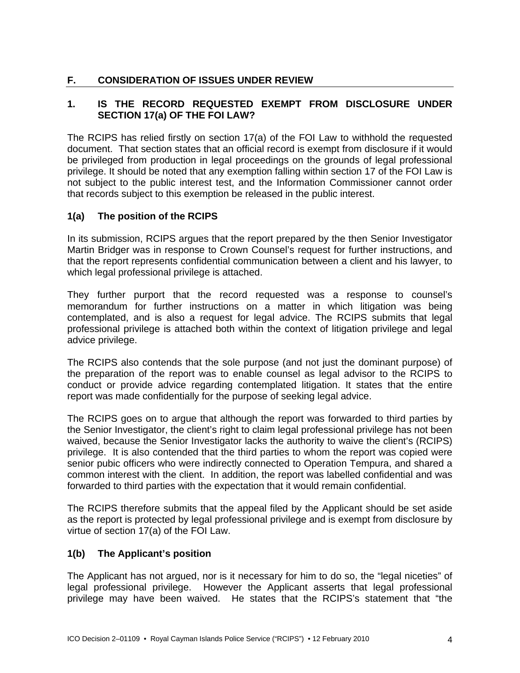# **F. CONSIDERATION OF ISSUES UNDER REVIEW**

# **1. IS THE RECORD REQUESTED EXEMPT FROM DISCLOSURE UNDER SECTION 17(a) OF THE FOI LAW?**

The RCIPS has relied firstly on section 17(a) of the FOI Law to withhold the requested document. That section states that an official record is exempt from disclosure if it would be privileged from production in legal proceedings on the grounds of legal professional privilege. It should be noted that any exemption falling within section 17 of the FOI Law is not subject to the public interest test, and the Information Commissioner cannot order that records subject to this exemption be released in the public interest.

### **1(a) The position of the RCIPS**

In its submission, RCIPS argues that the report prepared by the then Senior Investigator Martin Bridger was in response to Crown Counsel's request for further instructions, and that the report represents confidential communication between a client and his lawyer, to which legal professional privilege is attached.

They further purport that the record requested was a response to counsel's memorandum for further instructions on a matter in which litigation was being contemplated, and is also a request for legal advice. The RCIPS submits that legal professional privilege is attached both within the context of litigation privilege and legal advice privilege.

The RCIPS also contends that the sole purpose (and not just the dominant purpose) of the preparation of the report was to enable counsel as legal advisor to the RCIPS to conduct or provide advice regarding contemplated litigation. It states that the entire report was made confidentially for the purpose of seeking legal advice.

The RCIPS goes on to argue that although the report was forwarded to third parties by the Senior Investigator, the client's right to claim legal professional privilege has not been waived, because the Senior Investigator lacks the authority to waive the client's (RCIPS) privilege. It is also contended that the third parties to whom the report was copied were senior pubic officers who were indirectly connected to Operation Tempura, and shared a common interest with the client. In addition, the report was labelled confidential and was forwarded to third parties with the expectation that it would remain confidential.

The RCIPS therefore submits that the appeal filed by the Applicant should be set aside as the report is protected by legal professional privilege and is exempt from disclosure by virtue of section 17(a) of the FOI Law.

#### **1(b) The Applicant's position**

The Applicant has not argued, nor is it necessary for him to do so, the "legal niceties" of legal professional privilege. However the Applicant asserts that legal professional privilege may have been waived. He states that the RCIPS's statement that "the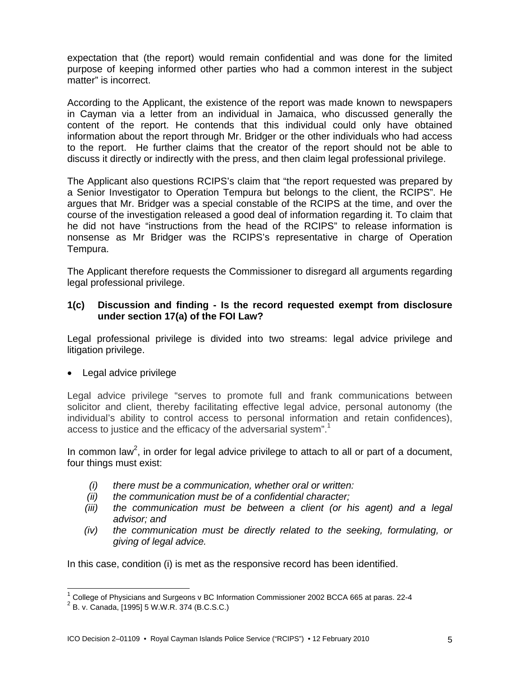expectation that (the report) would remain confidential and was done for the limited purpose of keeping informed other parties who had a common interest in the subject matter" is incorrect.

According to the Applicant, the existence of the report was made known to newspapers in Cayman via a letter from an individual in Jamaica, who discussed generally the content of the report. He contends that this individual could only have obtained information about the report through Mr. Bridger or the other individuals who had access to the report. He further claims that the creator of the report should not be able to discuss it directly or indirectly with the press, and then claim legal professional privilege.

The Applicant also questions RCIPS's claim that "the report requested was prepared by a Senior Investigator to Operation Tempura but belongs to the client, the RCIPS". He argues that Mr. Bridger was a special constable of the RCIPS at the time, and over the course of the investigation released a good deal of information regarding it. To claim that he did not have "instructions from the head of the RCIPS" to release information is nonsense as Mr Bridger was the RCIPS's representative in charge of Operation Tempura.

The Applicant therefore requests the Commissioner to disregard all arguments regarding legal professional privilege.

#### **1(c) Discussion and finding - Is the record requested exempt from disclosure under section 17(a) of the FOI Law?**

Legal professional privilege is divided into two streams: legal advice privilege and litigation privilege.

Legal advice privilege

Legal advice privilege "serves to promote full and frank communications between solicitor and client, thereby facilitating effective legal advice, personal autonomy (the individual's ability to control access to personal information and retain confidences), access to justice and the efficacy of the adversarial system".<sup>1</sup>

In common law<sup>2</sup>, in order for legal advice privilege to attach to all or part of a document, four things must exist:

- *(i) there must be a communication, whether oral or written:*
- *(ii) the communication must be of a confidential character;*
- *(iii) the communication must be between a client (or his agent) and a legal advisor; and*
- *(iv) the communication must be directly related to the seeking, formulating, or giving of legal advice.*

In this case, condition (i) is met as the responsive record has been identified.

l

 $^1$  College of Physicians and Surgeons v BC Information Commissioner 2002 BCCA 665 at paras. 22-4

 $2^{2}$  B. v. Canada, [1995] 5 W.W.R. 374 (B.C.S.C.)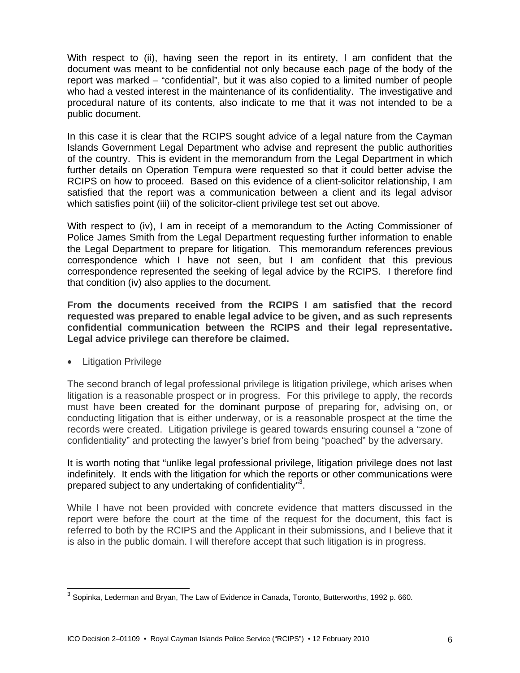With respect to (ii), having seen the report in its entirety, I am confident that the document was meant to be confidential not only because each page of the body of the report was marked – "confidential", but it was also copied to a limited number of people who had a vested interest in the maintenance of its confidentiality. The investigative and procedural nature of its contents, also indicate to me that it was not intended to be a public document.

In this case it is clear that the RCIPS sought advice of a legal nature from the Cayman Islands Government Legal Department who advise and represent the public authorities of the country. This is evident in the memorandum from the Legal Department in which further details on Operation Tempura were requested so that it could better advise the RCIPS on how to proceed. Based on this evidence of a client-solicitor relationship, I am satisfied that the report was a communication between a client and its legal advisor which satisfies point (iii) of the solicitor-client privilege test set out above.

With respect to (iv), I am in receipt of a memorandum to the Acting Commissioner of Police James Smith from the Legal Department requesting further information to enable the Legal Department to prepare for litigation. This memorandum references previous correspondence which I have not seen, but I am confident that this previous correspondence represented the seeking of legal advice by the RCIPS. I therefore find that condition (iv) also applies to the document.

**From the documents received from the RCIPS I am satisfied that the record requested was prepared to enable legal advice to be given, and as such represents confidential communication between the RCIPS and their legal representative. Legal advice privilege can therefore be claimed.** 

• Litigation Privilege

l

The second branch of legal professional privilege is litigation privilege, which arises when litigation is a reasonable prospect or in progress. For this privilege to apply, the records must have been created for the dominant purpose of preparing for, advising on, or conducting litigation that is either underway, or is a reasonable prospect at the time the records were created. Litigation privilege is geared towards ensuring counsel a "zone of confidentiality" and protecting the lawyer's brief from being "poached" by the adversary.

It is worth noting that "unlike legal professional privilege, litigation privilege does not last indefinitely. It ends with the litigation for which the reports or other communications were prepared subject to any undertaking of confidentiality"3.

While I have not been provided with concrete evidence that matters discussed in the report were before the court at the time of the request for the document, this fact is referred to both by the RCIPS and the Applicant in their submissions, and I believe that it is also in the public domain. I will therefore accept that such litigation is in progress.

 $^3$  Sopinka, Lederman and Bryan, The Law of Evidence in Canada, Toronto, Butterworths, 1992 p. 660.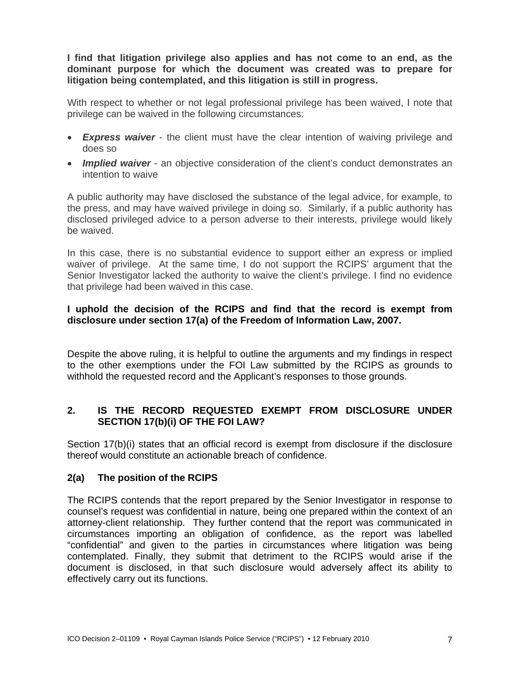**I find that litigation privilege also applies and has not come to an end, as the dominant purpose for which the document was created was to prepare for litigation being contemplated, and this litigation is still in progress.** 

With respect to whether or not legal professional privilege has been waived, I note that privilege can be waived in the following circumstances:

- *Express waiver* the client must have the clear intention of waiving privilege and does so
- *Implied waiver* an objective consideration of the client's conduct demonstrates an intention to waive

A public authority may have disclosed the substance of the legal advice, for example, to the press, and may have waived privilege in doing so. Similarly, if a public authority has disclosed privileged advice to a person adverse to their interests, privilege would likely be waived.

In this case, there is no substantial evidence to support either an express or implied waiver of privilege. At the same time, I do not support the RCIPS' argument that the Senior Investigator lacked the authority to waive the client's privilege. I find no evidence that privilege had been waived in this case.

### **I uphold the decision of the RCIPS and find that the record is exempt from disclosure under section 17(a) of the Freedom of Information Law, 2007.**

Despite the above ruling, it is helpful to outline the arguments and my findings in respect to the other exemptions under the FOI Law submitted by the RCIPS as grounds to withhold the requested record and the Applicant's responses to those grounds.

### **2. IS THE RECORD REQUESTED EXEMPT FROM DISCLOSURE UNDER SECTION 17(b)(i) OF THE FOI LAW?**

Section 17(b)(i) states that an official record is exempt from disclosure if the disclosure thereof would constitute an actionable breach of confidence.

#### **2(a) The position of the RCIPS**

The RCIPS contends that the report prepared by the Senior Investigator in response to counsel's request was confidential in nature, being one prepared within the context of an attorney-client relationship. They further contend that the report was communicated in circumstances importing an obligation of confidence, as the report was labelled "confidential" and given to the parties in circumstances where litigation was being contemplated. Finally, they submit that detriment to the RCIPS would arise if the document is disclosed, in that such disclosure would adversely affect its ability to effectively carry out its functions.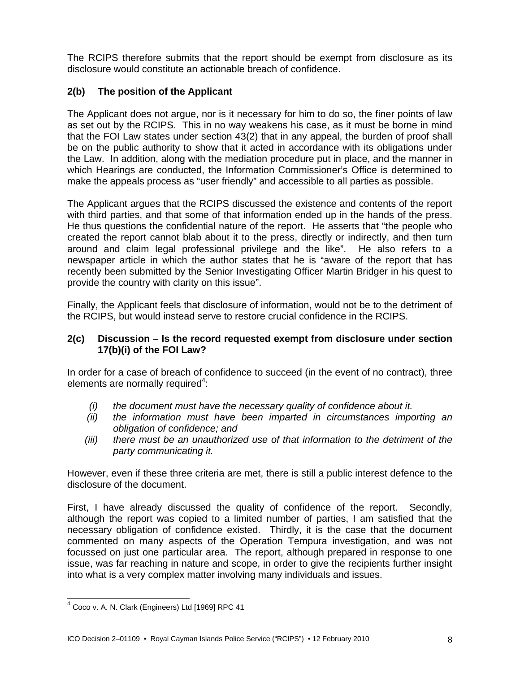The RCIPS therefore submits that the report should be exempt from disclosure as its disclosure would constitute an actionable breach of confidence.

### **2(b) The position of the Applicant**

The Applicant does not argue, nor is it necessary for him to do so, the finer points of law as set out by the RCIPS. This in no way weakens his case, as it must be borne in mind that the FOI Law states under section 43(2) that in any appeal, the burden of proof shall be on the public authority to show that it acted in accordance with its obligations under the Law. In addition, along with the mediation procedure put in place, and the manner in which Hearings are conducted, the Information Commissioner's Office is determined to make the appeals process as "user friendly" and accessible to all parties as possible.

The Applicant argues that the RCIPS discussed the existence and contents of the report with third parties, and that some of that information ended up in the hands of the press. He thus questions the confidential nature of the report. He asserts that "the people who created the report cannot blab about it to the press, directly or indirectly, and then turn around and claim legal professional privilege and the like". He also refers to a newspaper article in which the author states that he is "aware of the report that has recently been submitted by the Senior Investigating Officer Martin Bridger in his quest to provide the country with clarity on this issue".

Finally, the Applicant feels that disclosure of information, would not be to the detriment of the RCIPS, but would instead serve to restore crucial confidence in the RCIPS.

#### **2(c) Discussion – Is the record requested exempt from disclosure under section 17(b)(i) of the FOI Law?**

In order for a case of breach of confidence to succeed (in the event of no contract), three elements are normally required $4$ :

- *(i) the document must have the necessary quality of confidence about it.*
- *(ii) the information must have been imparted in circumstances importing an obligation of confidence; and*
- *(iii) there must be an unauthorized use of that information to the detriment of the party communicating it.*

However, even if these three criteria are met, there is still a public interest defence to the disclosure of the document.

First, I have already discussed the quality of confidence of the report. Secondly, although the report was copied to a limited number of parties, I am satisfied that the necessary obligation of confidence existed. Thirdly, it is the case that the document commented on many aspects of the Operation Tempura investigation, and was not focussed on just one particular area. The report, although prepared in response to one issue, was far reaching in nature and scope, in order to give the recipients further insight into what is a very complex matter involving many individuals and issues.

l

<sup>4</sup> Coco v. A. N. Clark (Engineers) Ltd [1969] RPC 41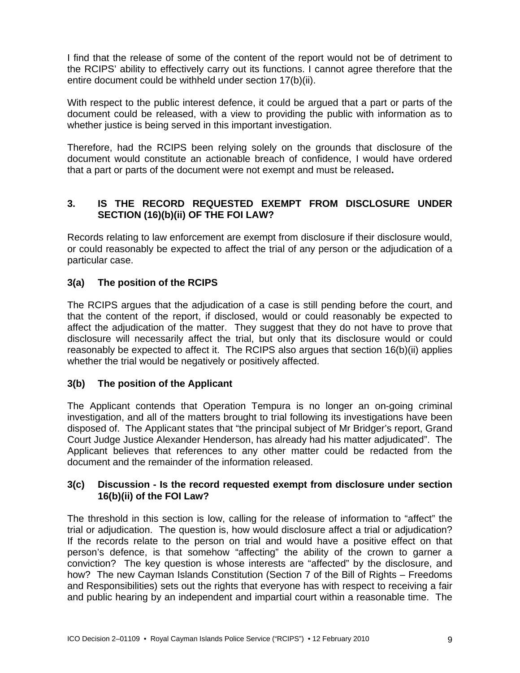I find that the release of some of the content of the report would not be of detriment to the RCIPS' ability to effectively carry out its functions. I cannot agree therefore that the entire document could be withheld under section 17(b)(ii).

With respect to the public interest defence, it could be argued that a part or parts of the document could be released, with a view to providing the public with information as to whether justice is being served in this important investigation.

Therefore, had the RCIPS been relying solely on the grounds that disclosure of the document would constitute an actionable breach of confidence, I would have ordered that a part or parts of the document were not exempt and must be released**.** 

# **3. IS THE RECORD REQUESTED EXEMPT FROM DISCLOSURE UNDER SECTION (16)(b)(ii) OF THE FOI LAW?**

Records relating to law enforcement are exempt from disclosure if their disclosure would, or could reasonably be expected to affect the trial of any person or the adjudication of a particular case.

# **3(a) The position of the RCIPS**

The RCIPS argues that the adjudication of a case is still pending before the court, and that the content of the report, if disclosed, would or could reasonably be expected to affect the adjudication of the matter. They suggest that they do not have to prove that disclosure will necessarily affect the trial, but only that its disclosure would or could reasonably be expected to affect it. The RCIPS also argues that section 16(b)(ii) applies whether the trial would be negatively or positively affected.

### **3(b) The position of the Applicant**

The Applicant contends that Operation Tempura is no longer an on-going criminal investigation, and all of the matters brought to trial following its investigations have been disposed of. The Applicant states that "the principal subject of Mr Bridger's report, Grand Court Judge Justice Alexander Henderson, has already had his matter adjudicated". The Applicant believes that references to any other matter could be redacted from the document and the remainder of the information released.

### **3(c) Discussion - Is the record requested exempt from disclosure under section 16(b)(ii) of the FOI Law?**

The threshold in this section is low, calling for the release of information to "affect" the trial or adjudication. The question is, how would disclosure affect a trial or adjudication? If the records relate to the person on trial and would have a positive effect on that person's defence, is that somehow "affecting" the ability of the crown to garner a conviction? The key question is whose interests are "affected" by the disclosure, and how? The new Cayman Islands Constitution (Section 7 of the Bill of Rights – Freedoms and Responsibilities) sets out the rights that everyone has with respect to receiving a fair and public hearing by an independent and impartial court within a reasonable time. The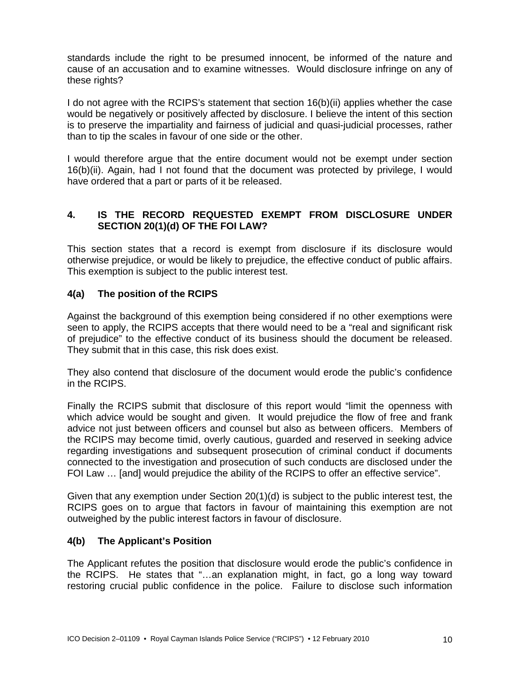standards include the right to be presumed innocent, be informed of the nature and cause of an accusation and to examine witnesses. Would disclosure infringe on any of these rights?

I do not agree with the RCIPS's statement that section 16(b)(ii) applies whether the case would be negatively or positively affected by disclosure. I believe the intent of this section is to preserve the impartiality and fairness of judicial and quasi-judicial processes, rather than to tip the scales in favour of one side or the other.

I would therefore argue that the entire document would not be exempt under section 16(b)(ii). Again, had I not found that the document was protected by privilege, I would have ordered that a part or parts of it be released.

### **4. IS THE RECORD REQUESTED EXEMPT FROM DISCLOSURE UNDER SECTION 20(1)(d) OF THE FOI LAW?**

This section states that a record is exempt from disclosure if its disclosure would otherwise prejudice, or would be likely to prejudice, the effective conduct of public affairs. This exemption is subject to the public interest test.

### **4(a) The position of the RCIPS**

Against the background of this exemption being considered if no other exemptions were seen to apply, the RCIPS accepts that there would need to be a "real and significant risk of prejudice" to the effective conduct of its business should the document be released. They submit that in this case, this risk does exist.

They also contend that disclosure of the document would erode the public's confidence in the RCIPS.

Finally the RCIPS submit that disclosure of this report would "limit the openness with which advice would be sought and given. It would prejudice the flow of free and frank advice not just between officers and counsel but also as between officers. Members of the RCIPS may become timid, overly cautious, guarded and reserved in seeking advice regarding investigations and subsequent prosecution of criminal conduct if documents connected to the investigation and prosecution of such conducts are disclosed under the FOI Law … [and] would prejudice the ability of the RCIPS to offer an effective service".

Given that any exemption under Section 20(1)(d) is subject to the public interest test, the RCIPS goes on to argue that factors in favour of maintaining this exemption are not outweighed by the public interest factors in favour of disclosure.

#### **4(b) The Applicant's Position**

The Applicant refutes the position that disclosure would erode the public's confidence in the RCIPS. He states that "…an explanation might, in fact, go a long way toward restoring crucial public confidence in the police. Failure to disclose such information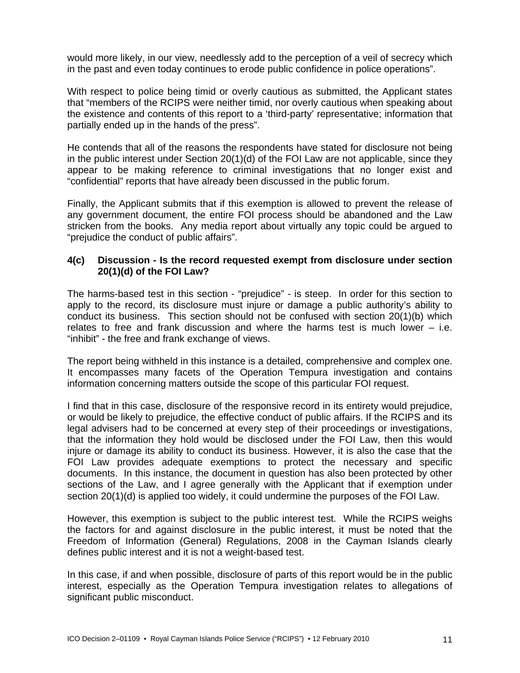would more likely, in our view, needlessly add to the perception of a veil of secrecy which in the past and even today continues to erode public confidence in police operations".

With respect to police being timid or overly cautious as submitted, the Applicant states that "members of the RCIPS were neither timid, nor overly cautious when speaking about the existence and contents of this report to a 'third-party' representative; information that partially ended up in the hands of the press".

He contends that all of the reasons the respondents have stated for disclosure not being in the public interest under Section 20(1)(d) of the FOI Law are not applicable, since they appear to be making reference to criminal investigations that no longer exist and "confidential" reports that have already been discussed in the public forum.

Finally, the Applicant submits that if this exemption is allowed to prevent the release of any government document, the entire FOI process should be abandoned and the Law stricken from the books. Any media report about virtually any topic could be argued to "prejudice the conduct of public affairs".

#### **4(c) Discussion - Is the record requested exempt from disclosure under section 20(1)(d) of the FOI Law?**

The harms-based test in this section - "prejudice" - is steep. In order for this section to apply to the record, its disclosure must injure or damage a public authority's ability to conduct its business. This section should not be confused with section 20(1)(b) which relates to free and frank discussion and where the harms test is much lower  $-$  i.e. "inhibit" - the free and frank exchange of views.

The report being withheld in this instance is a detailed, comprehensive and complex one. It encompasses many facets of the Operation Tempura investigation and contains information concerning matters outside the scope of this particular FOI request.

I find that in this case, disclosure of the responsive record in its entirety would prejudice, or would be likely to prejudice, the effective conduct of public affairs. If the RCIPS and its legal advisers had to be concerned at every step of their proceedings or investigations, that the information they hold would be disclosed under the FOI Law, then this would injure or damage its ability to conduct its business. However, it is also the case that the FOI Law provides adequate exemptions to protect the necessary and specific documents. In this instance, the document in question has also been protected by other sections of the Law, and I agree generally with the Applicant that if exemption under section 20(1)(d) is applied too widely, it could undermine the purposes of the FOI Law.

However, this exemption is subject to the public interest test. While the RCIPS weighs the factors for and against disclosure in the public interest, it must be noted that the Freedom of Information (General) Regulations, 2008 in the Cayman Islands clearly defines public interest and it is not a weight-based test.

In this case, if and when possible, disclosure of parts of this report would be in the public interest, especially as the Operation Tempura investigation relates to allegations of significant public misconduct.